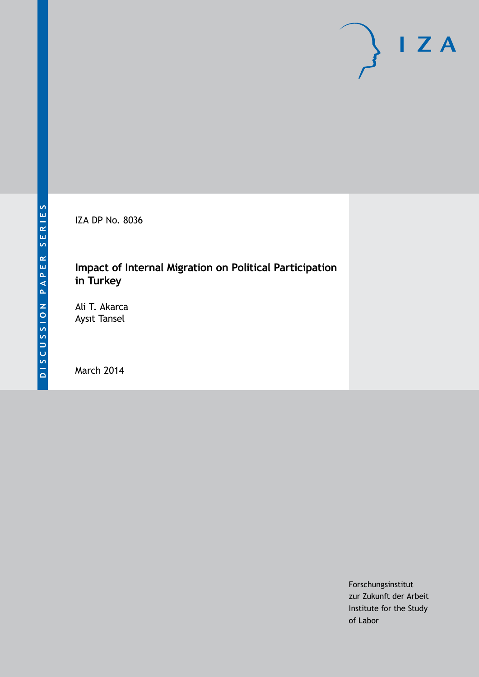IZA DP No. 8036

# **Impact of Internal Migration on Political Participation in Turkey**

Ali T. Akarca Aysıt Tansel

March 2014

Forschungsinstitut zur Zukunft der Arbeit Institute for the Study of Labor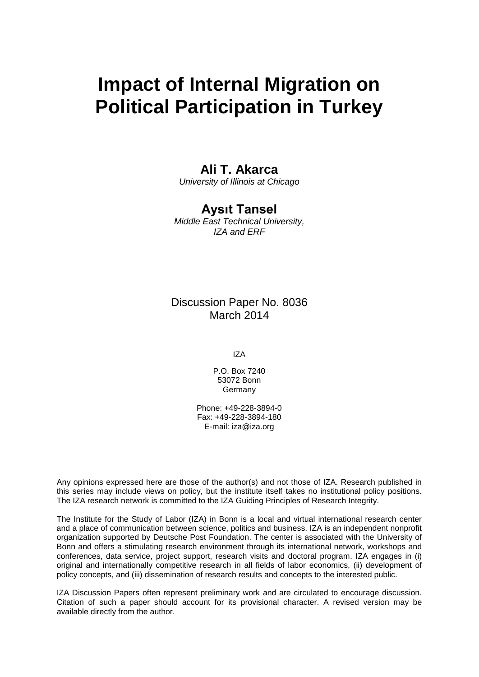# **Impact of Internal Migration on Political Participation in Turkey**

### **Ali T. Akarca**

*University of Illinois at Chicago*

### **Aysıt Tansel**

*Middle East Technical University, IZA and ERF*

### Discussion Paper No. 8036 March 2014

IZA

P.O. Box 7240 53072 Bonn Germany

Phone: +49-228-3894-0 Fax: +49-228-3894-180 E-mail: [iza@iza.org](mailto:iza@iza.org)

Any opinions expressed here are those of the author(s) and not those of IZA. Research published in this series may include views on policy, but the institute itself takes no institutional policy positions. The IZA research network is committed to the IZA Guiding Principles of Research Integrity.

The Institute for the Study of Labor (IZA) in Bonn is a local and virtual international research center and a place of communication between science, politics and business. IZA is an independent nonprofit organization supported by Deutsche Post Foundation. The center is associated with the University of Bonn and offers a stimulating research environment through its international network, workshops and conferences, data service, project support, research visits and doctoral program. IZA engages in (i) original and internationally competitive research in all fields of labor economics, (ii) development of policy concepts, and (iii) dissemination of research results and concepts to the interested public.

IZA Discussion Papers often represent preliminary work and are circulated to encourage discussion. Citation of such a paper should account for its provisional character. A revised version may be available directly from the author.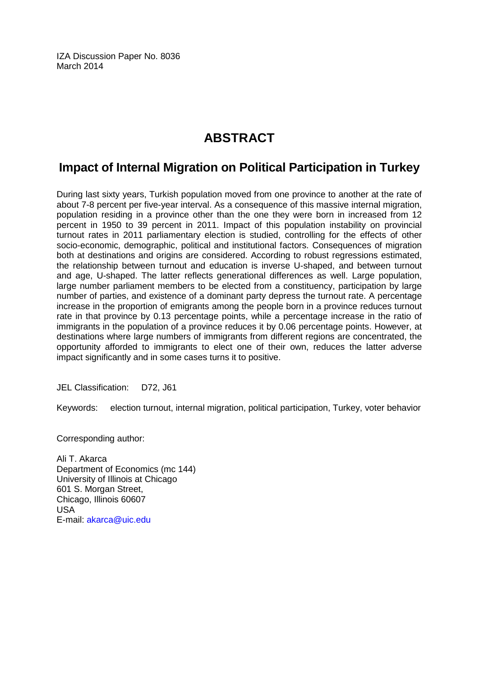IZA Discussion Paper No. 8036 March 2014

# **ABSTRACT**

# **Impact of Internal Migration on Political Participation in Turkey**

During last sixty years, Turkish population moved from one province to another at the rate of about 7-8 percent per five-year interval. As a consequence of this massive internal migration, population residing in a province other than the one they were born in increased from 12 percent in 1950 to 39 percent in 2011. Impact of this population instability on provincial turnout rates in 2011 parliamentary election is studied, controlling for the effects of other socio-economic, demographic, political and institutional factors. Consequences of migration both at destinations and origins are considered. According to robust regressions estimated, the relationship between turnout and education is inverse U-shaped, and between turnout and age, U-shaped. The latter reflects generational differences as well. Large population, large number parliament members to be elected from a constituency, participation by large number of parties, and existence of a dominant party depress the turnout rate. A percentage increase in the proportion of emigrants among the people born in a province reduces turnout rate in that province by 0.13 percentage points, while a percentage increase in the ratio of immigrants in the population of a province reduces it by 0.06 percentage points. However, at destinations where large numbers of immigrants from different regions are concentrated, the opportunity afforded to immigrants to elect one of their own, reduces the latter adverse impact significantly and in some cases turns it to positive.

JEL Classification: D72, J61

Keywords: election turnout, internal migration, political participation, Turkey, voter behavior

Corresponding author:

Ali T. Akarca Department of Economics (mc 144) University of Illinois at Chicago 601 S. Morgan Street, Chicago, Illinois 60607 USA E-mail: [akarca@uic.edu](mailto:akarca@uic.edu)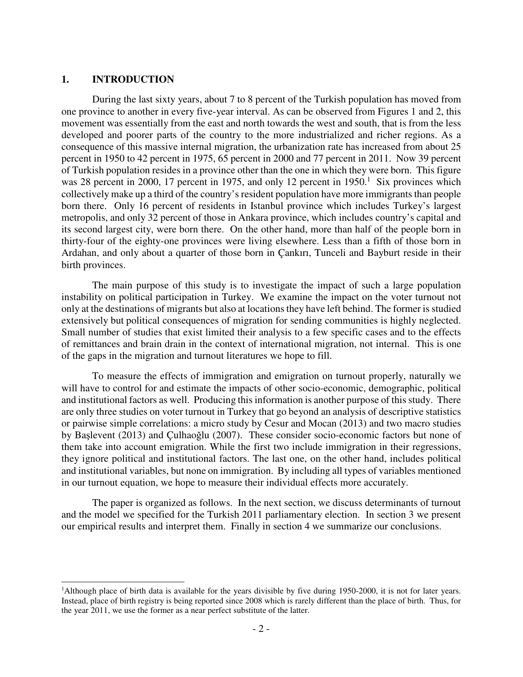#### **1. INTRODUCTION**

j

During the last sixty years, about 7 to 8 percent of the Turkish population has moved from one province to another in every five-year interval. As can be observed from Figures 1 and 2, this movement was essentially from the east and north towards the west and south, that is from the less developed and poorer parts of the country to the more industrialized and richer regions. As a consequence of this massive internal migration, the urbanization rate has increased from about 25 percent in 1950 to 42 percent in 1975, 65 percent in 2000 and 77 percent in 2011. Now 39 percent of Turkish population resides in a province other than the one in which they were born. This figure was 28 percent in 2000, 17 percent in 1975, and only 12 percent in  $1950<sup>1</sup>$ . Six provinces which collectively make up a third of the country's resident population have more immigrants than people born there. Only 16 percent of residents in Istanbul province which includes Turkey's largest metropolis, and only 32 percent of those in Ankara province, which includes country's capital and its second largest city, were born there. On the other hand, more than half of the people born in thirty-four of the eighty-one provinces were living elsewhere. Less than a fifth of those born in Ardahan, and only about a quarter of those born in Çankırı, Tunceli and Bayburt reside in their birth provinces.

 The main purpose of this study is to investigate the impact of such a large population instability on political participation in Turkey. We examine the impact on the voter turnout not only at the destinations of migrants but also at locations they have left behind. The former is studied extensively but political consequences of migration for sending communities is highly neglected. Small number of studies that exist limited their analysis to a few specific cases and to the effects of remittances and brain drain in the context of international migration, not internal. This is one of the gaps in the migration and turnout literatures we hope to fill.

To measure the effects of immigration and emigration on turnout properly, naturally we will have to control for and estimate the impacts of other socio-economic, demographic, political and institutional factors as well. Producing this information is another purpose of this study. There are only three studies on voter turnout in Turkey that go beyond an analysis of descriptive statistics or pairwise simple correlations: a micro study by Cesur and Mocan (2013) and two macro studies by Başlevent (2013) and Çulhaoğlu (2007). These consider socio-economic factors but none of them take into account emigration. While the first two include immigration in their regressions, they ignore political and institutional factors. The last one, on the other hand, includes political and institutional variables, but none on immigration. By including all types of variables mentioned in our turnout equation, we hope to measure their individual effects more accurately.

 The paper is organized as follows. In the next section, we discuss determinants of turnout and the model we specified for the Turkish 2011 parliamentary election. In section 3 we present our empirical results and interpret them. Finally in section 4 we summarize our conclusions.

<sup>&</sup>lt;sup>1</sup>Although place of birth data is available for the years divisible by five during 1950-2000, it is not for later years. Instead, place of birth registry is being reported since 2008 which is rarely different than the place of birth. Thus, for the year 2011, we use the former as a near perfect substitute of the latter.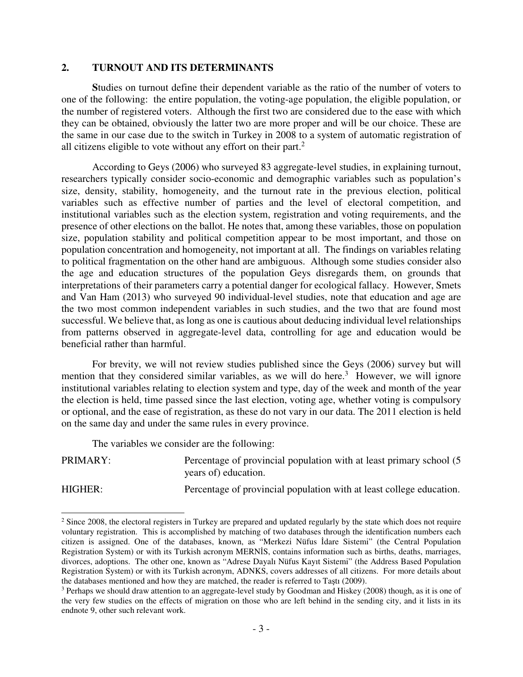#### **2. TURNOUT AND ITS DETERMINANTS**

 **S**tudies on turnout define their dependent variable as the ratio of the number of voters to one of the following: the entire population, the voting-age population, the eligible population, or the number of registered voters. Although the first two are considered due to the ease with which they can be obtained, obviously the latter two are more proper and will be our choice. These are the same in our case due to the switch in Turkey in 2008 to a system of automatic registration of all citizens eligible to vote without any effort on their part. $2$ 

According to Geys (2006) who surveyed 83 aggregate-level studies, in explaining turnout, researchers typically consider socio-economic and demographic variables such as population's size, density, stability, homogeneity, and the turnout rate in the previous election, political variables such as effective number of parties and the level of electoral competition, and institutional variables such as the election system, registration and voting requirements, and the presence of other elections on the ballot. He notes that, among these variables, those on population size, population stability and political competition appear to be most important, and those on population concentration and homogeneity, not important at all. The findings on variables relating to political fragmentation on the other hand are ambiguous. Although some studies consider also the age and education structures of the population Geys disregards them, on grounds that interpretations of their parameters carry a potential danger for ecological fallacy. However, Smets and Van Ham (2013) who surveyed 90 individual-level studies, note that education and age are the two most common independent variables in such studies, and the two that are found most successful. We believe that, as long as one is cautious about deducing individual level relationships from patterns observed in aggregate-level data, controlling for age and education would be beneficial rather than harmful.

For brevity, we will not review studies published since the Geys (2006) survey but will mention that they considered similar variables, as we will do here.<sup>3</sup> However, we will ignore institutional variables relating to election system and type, day of the week and month of the year the election is held, time passed since the last election, voting age, whether voting is compulsory or optional, and the ease of registration, as these do not vary in our data. The 2011 election is held on the same day and under the same rules in every province.

The variables we consider are the following:

-

PRIMARY: Percentage of provincial population with at least primary school (5 years of) education.

HIGHER: Percentage of provincial population with at least college education.

<sup>&</sup>lt;sup>2</sup> Since 2008, the electoral registers in Turkey are prepared and updated regularly by the state which does not require voluntary registration. This is accomplished by matching of two databases through the identification numbers each citizen is assigned. One of the databases, known, as "Merkezi Nüfus İdare Sistemi" (the Central Population Registration System) or with its Turkish acronym MERNİS, contains information such as births, deaths, marriages, divorces, adoptions. The other one, known as "Adrese Dayalı Nüfus Kayıt Sistemi" (the Address Based Population Registration System) or with its Turkish acronym, ADNKS, covers addresses of all citizens. For more details about the databases mentioned and how they are matched, the reader is referred to Taştı (2009).

<sup>&</sup>lt;sup>3</sup> Perhaps we should draw attention to an aggregate-level study by Goodman and Hiskey (2008) though, as it is one of the very few studies on the effects of migration on those who are left behind in the sending city, and it lists in its endnote 9, other such relevant work.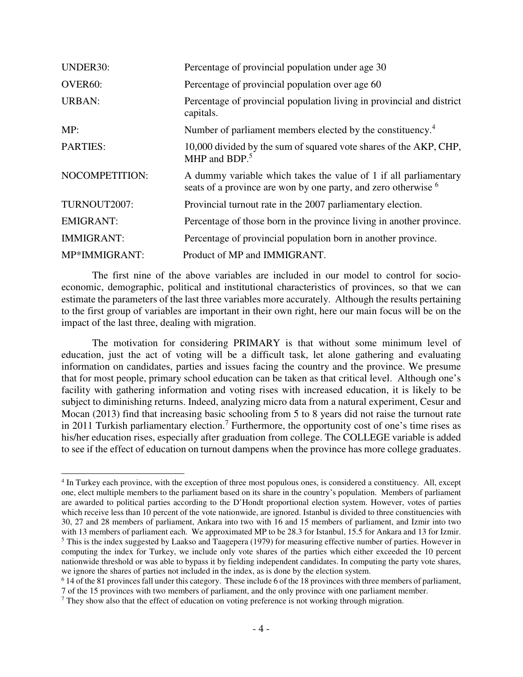| <b>UNDER30:</b>      | Percentage of provincial population under age 30                                                                                              |
|----------------------|-----------------------------------------------------------------------------------------------------------------------------------------------|
| OVER <sub>60</sub> : | Percentage of provincial population over age 60                                                                                               |
| <b>URBAN:</b>        | Percentage of provincial population living in provincial and district<br>capitals.                                                            |
| MP:                  | Number of parliament members elected by the constituency. <sup>4</sup>                                                                        |
| <b>PARTIES:</b>      | 10,000 divided by the sum of squared vote shares of the AKP, CHP,<br>MHP and BDP. <sup>5</sup>                                                |
| NOCOMPETITION:       | A dummy variable which takes the value of 1 if all parliamentary<br>seats of a province are won by one party, and zero otherwise <sup>6</sup> |
| TURNOUT2007:         | Provincial turnout rate in the 2007 parliamentary election.                                                                                   |
| <b>EMIGRANT:</b>     | Percentage of those born in the province living in another province.                                                                          |
| <b>IMMIGRANT:</b>    | Percentage of provincial population born in another province.                                                                                 |
| MP*IMMIGRANT:        | Product of MP and IMMIGRANT.                                                                                                                  |

 The first nine of the above variables are included in our model to control for socioeconomic, demographic, political and institutional characteristics of provinces, so that we can estimate the parameters of the last three variables more accurately. Although the results pertaining to the first group of variables are important in their own right, here our main focus will be on the impact of the last three, dealing with migration.

The motivation for considering PRIMARY is that without some minimum level of education, just the act of voting will be a difficult task, let alone gathering and evaluating information on candidates, parties and issues facing the country and the province. We presume that for most people, primary school education can be taken as that critical level. Although one's facility with gathering information and voting rises with increased education, it is likely to be subject to diminishing returns. Indeed, analyzing micro data from a natural experiment, Cesur and Mocan (2013) find that increasing basic schooling from 5 to 8 years did not raise the turnout rate in 2011 Turkish parliamentary election.<sup>7</sup> Furthermore, the opportunity cost of one's time rises as his/her education rises, especially after graduation from college. The COLLEGE variable is added to see if the effect of education on turnout dampens when the province has more college graduates.

j

<sup>4</sup> In Turkey each province, with the exception of three most populous ones, is considered a constituency. All, except one, elect multiple members to the parliament based on its share in the country's population. Members of parliament are awarded to political parties according to the D'Hondt proportional election system. However, votes of parties which receive less than 10 percent of the vote nationwide, are ignored. Istanbul is divided to three constituencies with 30, 27 and 28 members of parliament, Ankara into two with 16 and 15 members of parliament, and Izmir into two with 13 members of parliament each. We approximated MP to be 28.3 for Istanbul, 15.5 for Ankara and 13 for Izmir.  $<sup>5</sup>$  This is the index suggested by Laakso and Taagepera (1979) for measuring effective number of parties. However in</sup> computing the index for Turkey, we include only vote shares of the parties which either exceeded the 10 percent nationwide threshold or was able to bypass it by fielding independent candidates. In computing the party vote shares, we ignore the shares of parties not included in the index, as is done by the election system.

<sup>6</sup> 14 of the 81 provinces fall under this category. These include 6 of the 18 provinces with three members of parliament, 7 of the 15 provinces with two members of parliament, and the only province with one parliament member.

 $<sup>7</sup>$  They show also that the effect of education on voting preference is not working through migration.</sup>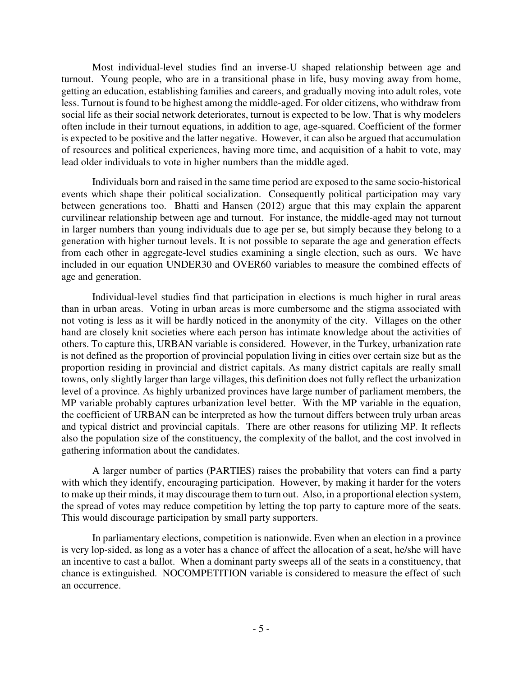Most individual-level studies find an inverse-U shaped relationship between age and turnout. Young people, who are in a transitional phase in life, busy moving away from home, getting an education, establishing families and careers, and gradually moving into adult roles, vote less. Turnout is found to be highest among the middle-aged. For older citizens, who withdraw from social life as their social network deteriorates, turnout is expected to be low. That is why modelers often include in their turnout equations, in addition to age, age-squared. Coefficient of the former is expected to be positive and the latter negative. However, it can also be argued that accumulation of resources and political experiences, having more time, and acquisition of a habit to vote, may lead older individuals to vote in higher numbers than the middle aged.

Individuals born and raised in the same time period are exposed to the same socio-historical events which shape their political socialization. Consequently political participation may vary between generations too. Bhatti and Hansen (2012) argue that this may explain the apparent curvilinear relationship between age and turnout. For instance, the middle-aged may not turnout in larger numbers than young individuals due to age per se, but simply because they belong to a generation with higher turnout levels. It is not possible to separate the age and generation effects from each other in aggregate-level studies examining a single election, such as ours. We have included in our equation UNDER30 and OVER60 variables to measure the combined effects of age and generation.

Individual-level studies find that participation in elections is much higher in rural areas than in urban areas. Voting in urban areas is more cumbersome and the stigma associated with not voting is less as it will be hardly noticed in the anonymity of the city. Villages on the other hand are closely knit societies where each person has intimate knowledge about the activities of others. To capture this, URBAN variable is considered. However, in the Turkey, urbanization rate is not defined as the proportion of provincial population living in cities over certain size but as the proportion residing in provincial and district capitals. As many district capitals are really small towns, only slightly larger than large villages, this definition does not fully reflect the urbanization level of a province. As highly urbanized provinces have large number of parliament members, the MP variable probably captures urbanization level better. With the MP variable in the equation, the coefficient of URBAN can be interpreted as how the turnout differs between truly urban areas and typical district and provincial capitals. There are other reasons for utilizing MP. It reflects also the population size of the constituency, the complexity of the ballot, and the cost involved in gathering information about the candidates.

A larger number of parties (PARTIES) raises the probability that voters can find a party with which they identify, encouraging participation. However, by making it harder for the voters to make up their minds, it may discourage them to turn out. Also, in a proportional election system, the spread of votes may reduce competition by letting the top party to capture more of the seats. This would discourage participation by small party supporters.

In parliamentary elections, competition is nationwide. Even when an election in a province is very lop-sided, as long as a voter has a chance of affect the allocation of a seat, he/she will have an incentive to cast a ballot. When a dominant party sweeps all of the seats in a constituency, that chance is extinguished. NOCOMPETITION variable is considered to measure the effect of such an occurrence.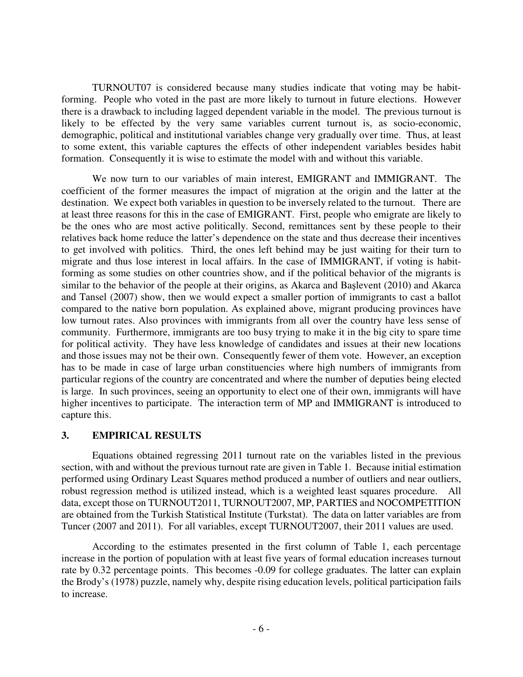TURNOUT07 is considered because many studies indicate that voting may be habitforming. People who voted in the past are more likely to turnout in future elections. However there is a drawback to including lagged dependent variable in the model. The previous turnout is likely to be effected by the very same variables current turnout is, as socio-economic, demographic, political and institutional variables change very gradually over time. Thus, at least to some extent, this variable captures the effects of other independent variables besides habit formation. Consequently it is wise to estimate the model with and without this variable.

 We now turn to our variables of main interest, EMIGRANT and IMMIGRANT. The coefficient of the former measures the impact of migration at the origin and the latter at the destination. We expect both variables in question to be inversely related to the turnout. There are at least three reasons for this in the case of EMIGRANT. First, people who emigrate are likely to be the ones who are most active politically. Second, remittances sent by these people to their relatives back home reduce the latter's dependence on the state and thus decrease their incentives to get involved with politics. Third, the ones left behind may be just waiting for their turn to migrate and thus lose interest in local affairs. In the case of IMMIGRANT, if voting is habitforming as some studies on other countries show, and if the political behavior of the migrants is similar to the behavior of the people at their origins, as Akarca and Başlevent (2010) and Akarca and Tansel (2007) show, then we would expect a smaller portion of immigrants to cast a ballot compared to the native born population. As explained above, migrant producing provinces have low turnout rates. Also provinces with immigrants from all over the country have less sense of community. Furthermore, immigrants are too busy trying to make it in the big city to spare time for political activity. They have less knowledge of candidates and issues at their new locations and those issues may not be their own. Consequently fewer of them vote. However, an exception has to be made in case of large urban constituencies where high numbers of immigrants from particular regions of the country are concentrated and where the number of deputies being elected is large. In such provinces, seeing an opportunity to elect one of their own, immigrants will have higher incentives to participate. The interaction term of MP and IMMIGRANT is introduced to capture this.

#### **3. EMPIRICAL RESULTS**

Equations obtained regressing 2011 turnout rate on the variables listed in the previous section, with and without the previous turnout rate are given in Table 1. Because initial estimation performed using Ordinary Least Squares method produced a number of outliers and near outliers, robust regression method is utilized instead, which is a weighted least squares procedure. All data, except those on TURNOUT2011, TURNOUT2007, MP, PARTIES and NOCOMPETITION are obtained from the Turkish Statistical Institute (Turkstat). The data on latter variables are from Tuncer (2007 and 2011). For all variables, except TURNOUT2007, their 2011 values are used.

According to the estimates presented in the first column of Table 1, each percentage increase in the portion of population with at least five years of formal education increases turnout rate by 0.32 percentage points. This becomes -0.09 for college graduates. The latter can explain the Brody's (1978) puzzle, namely why, despite rising education levels, political participation fails to increase.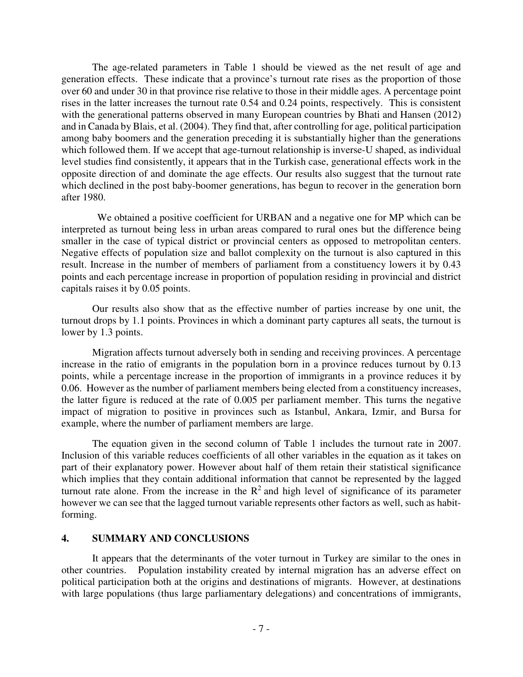The age-related parameters in Table 1 should be viewed as the net result of age and generation effects. These indicate that a province's turnout rate rises as the proportion of those over 60 and under 30 in that province rise relative to those in their middle ages. A percentage point rises in the latter increases the turnout rate 0.54 and 0.24 points, respectively. This is consistent with the generational patterns observed in many European countries by Bhati and Hansen (2012) and in Canada by Blais, et al. (2004). They find that, after controlling for age, political participation among baby boomers and the generation preceding it is substantially higher than the generations which followed them. If we accept that age-turnout relationship is inverse-U shaped, as individual level studies find consistently, it appears that in the Turkish case, generational effects work in the opposite direction of and dominate the age effects. Our results also suggest that the turnout rate which declined in the post baby-boomer generations, has begun to recover in the generation born after 1980.

 We obtained a positive coefficient for URBAN and a negative one for MP which can be interpreted as turnout being less in urban areas compared to rural ones but the difference being smaller in the case of typical district or provincial centers as opposed to metropolitan centers. Negative effects of population size and ballot complexity on the turnout is also captured in this result. Increase in the number of members of parliament from a constituency lowers it by 0.43 points and each percentage increase in proportion of population residing in provincial and district capitals raises it by 0.05 points.

 Our results also show that as the effective number of parties increase by one unit, the turnout drops by 1.1 points. Provinces in which a dominant party captures all seats, the turnout is lower by 1.3 points.

Migration affects turnout adversely both in sending and receiving provinces. A percentage increase in the ratio of emigrants in the population born in a province reduces turnout by 0.13 points, while a percentage increase in the proportion of immigrants in a province reduces it by 0.06. However as the number of parliament members being elected from a constituency increases, the latter figure is reduced at the rate of 0.005 per parliament member. This turns the negative impact of migration to positive in provinces such as Istanbul, Ankara, Izmir, and Bursa for example, where the number of parliament members are large.

 The equation given in the second column of Table 1 includes the turnout rate in 2007. Inclusion of this variable reduces coefficients of all other variables in the equation as it takes on part of their explanatory power. However about half of them retain their statistical significance which implies that they contain additional information that cannot be represented by the lagged turnout rate alone. From the increase in the  $\mathbb{R}^2$  and high level of significance of its parameter however we can see that the lagged turnout variable represents other factors as well, such as habitforming.

### **4. SUMMARY AND CONCLUSIONS**

It appears that the determinants of the voter turnout in Turkey are similar to the ones in other countries. Population instability created by internal migration has an adverse effect on political participation both at the origins and destinations of migrants. However, at destinations with large populations (thus large parliamentary delegations) and concentrations of immigrants,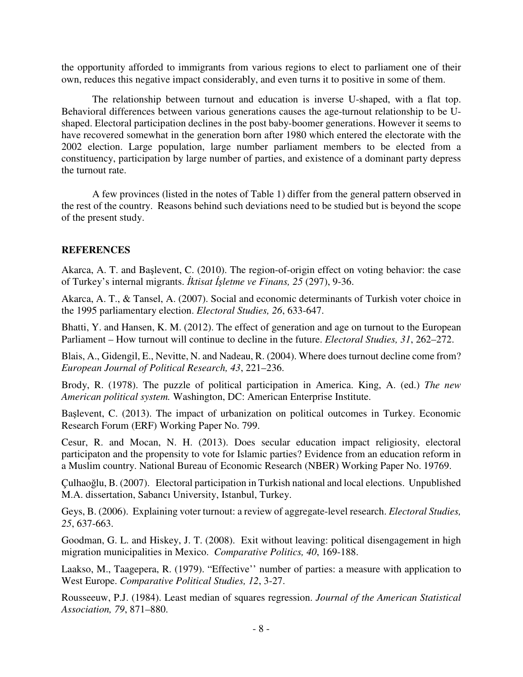the opportunity afforded to immigrants from various regions to elect to parliament one of their own, reduces this negative impact considerably, and even turns it to positive in some of them.

The relationship between turnout and education is inverse U-shaped, with a flat top. Behavioral differences between various generations causes the age-turnout relationship to be Ushaped. Electoral participation declines in the post baby-boomer generations. However it seems to have recovered somewhat in the generation born after 1980 which entered the electorate with the 2002 election. Large population, large number parliament members to be elected from a constituency, participation by large number of parties, and existence of a dominant party depress the turnout rate.

A few provinces (listed in the notes of Table 1) differ from the general pattern observed in the rest of the country. Reasons behind such deviations need to be studied but is beyond the scope of the present study.

### **REFERENCES**

Akarca, A. T. and Başlevent, C. (2010). The region-of-origin effect on voting behavior: the case of Turkey's internal migrants. İ*ktisat* İş*letme ve Finans, 25* (297), 9-36.

Akarca, A. T., & Tansel, A. (2007). Social and economic determinants of Turkish voter choice in the 1995 parliamentary election. *Electoral Studies, 26*, 633-647.

Bhatti, Y. and Hansen, K. M. (2012). The effect of generation and age on turnout to the European Parliament – How turnout will continue to decline in the future. *Electoral Studies, 31*, 262–272.

Blais, A., Gidengil, E., Nevitte, N. and Nadeau, R. (2004). Where does turnout decline come from? *European Journal of Political Research, 43*, 221–236.

Brody, R. (1978). The puzzle of political participation in America. King, A. (ed.) *The new American political system.* Washington, DC: American Enterprise Institute.

Başlevent, C. (2013). The impact of urbanization on political outcomes in Turkey. Economic Research Forum (ERF) Working Paper No. 799.

Cesur, R. and Mocan, N. H. (2013). Does secular education impact religiosity, electoral participaton and the propensity to vote for Islamic parties? Evidence from an education reform in a Muslim country. National Bureau of Economic Research (NBER) Working Paper No. 19769.

Çulhaoğlu, B. (2007). Electoral participation in Turkish national and local elections. Unpublished M.A. dissertation, Sabancı University, Istanbul, Turkey.

Geys, B. (2006). Explaining voter turnout: a review of aggregate-level research. *Electoral Studies, 25*, 637-663.

Goodman, G. L. and Hiskey, J. T. (2008). Exit without leaving: political disengagement in high migration municipalities in Mexico. *Comparative Politics, 40*, 169-188.

Laakso, M., Taagepera, R. (1979). "Effective'' number of parties: a measure with application to West Europe. *Comparative Political Studies, 12*, 3-27.

Rousseeuw, P.J. (1984). Least median of squares regression. *Journal of the American Statistical Association, 79*, 871–880.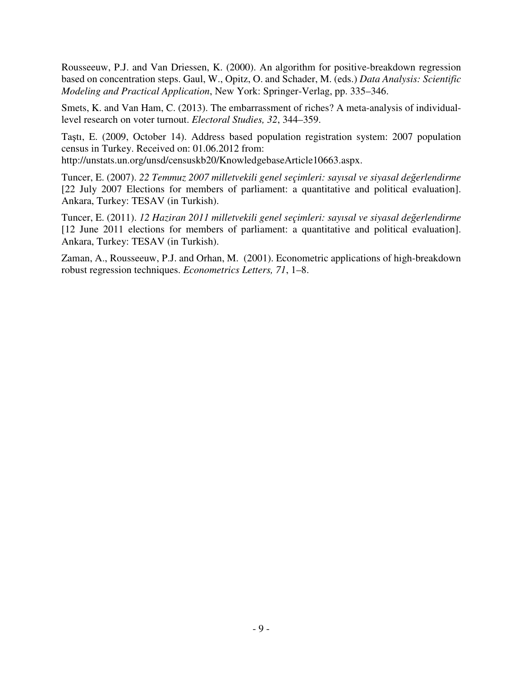Rousseeuw, P.J. and Van Driessen, K. (2000). An algorithm for positive-breakdown regression based on concentration steps. Gaul, W., Opitz, O. and Schader, M. (eds.) *Data Analysis: Scientific Modeling and Practical Application*, New York: Springer-Verlag, pp. 335–346.

Smets, K. and Van Ham, C. (2013). The embarrassment of riches? A meta-analysis of individuallevel research on voter turnout. *Electoral Studies, 32*, 344–359.

Taştı, E. (2009, October 14). Address based population registration system: 2007 population census in Turkey. Received on: 01.06.2012 from: http://unstats.un.org/unsd/censuskb20/KnowledgebaseArticle10663.aspx.

Tuncer, E. (2007). *22 Temmuz 2007 milletvekili genel seçimleri: sayısal ve siyasal de*ğ*erlendirme* [22 July 2007 Elections for members of parliament: a quantitative and political evaluation]. Ankara, Turkey: TESAV (in Turkish).

Tuncer, E. (2011). *12 Haziran 2011 milletvekili genel seçimleri: sayısal ve siyasal de*ğ*erlendirme* [12 June 2011 elections for members of parliament: a quantitative and political evaluation]. Ankara, Turkey: TESAV (in Turkish).

Zaman, A., Rousseeuw, P.J. and Orhan, M. (2001). Econometric applications of high-breakdown robust regression techniques. *Econometrics Letters, 71*, 1–8.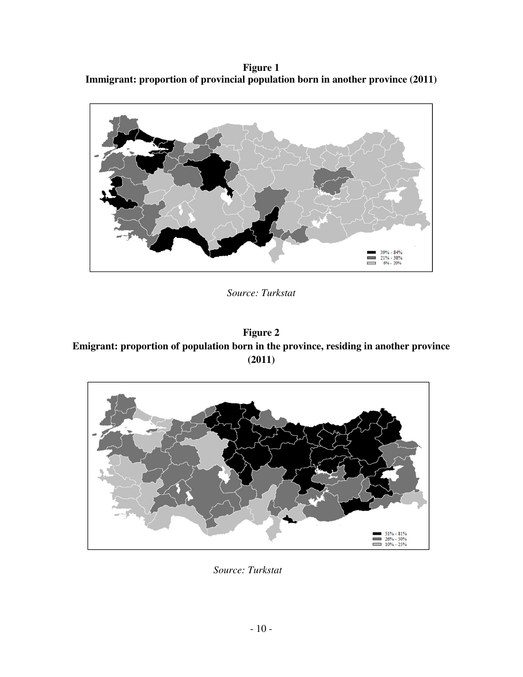**Figure 1 Immigrant: proportion of provincial population born in another province (2011)**



*Source: Turkstat* 

**Figure 2 Emigrant: proportion of population born in the province, residing in another province (2011)** 



*Source: Turkstat*